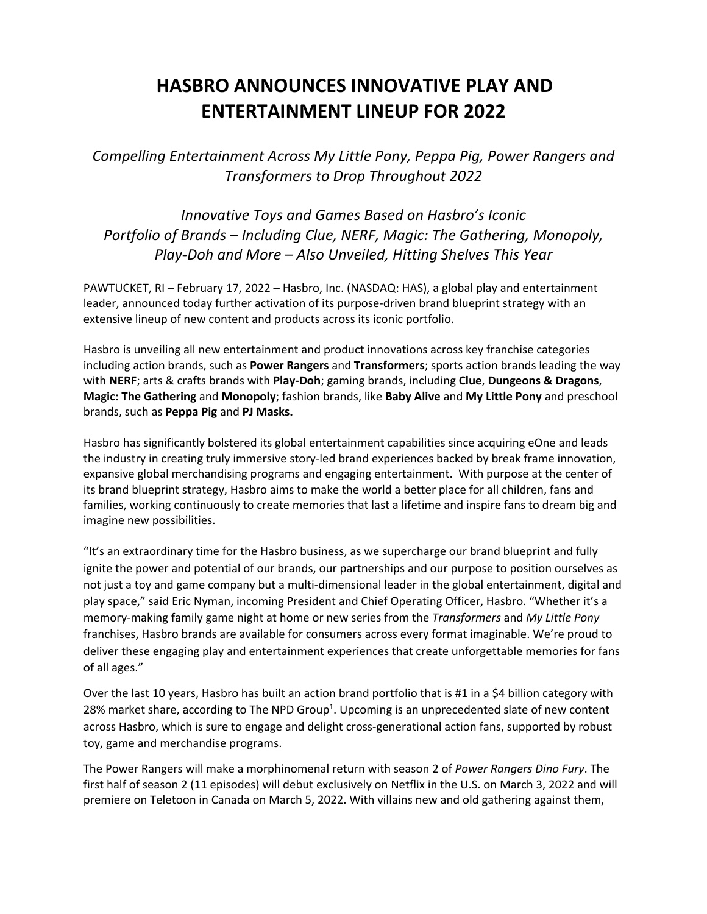## **HASBRO ANNOUNCES INNOVATIVE PLAY AND ENTERTAINMENT LINEUP FOR 2022**

*Compelling Entertainment Across My Little Pony, Peppa Pig, Power Rangers and Transformers to Drop Throughout 2022*

*Innovative Toys and Games Based on Hasbro's Iconic Portfolio of Brands – Including Clue, NERF, Magic: The Gathering, Monopoly, Play-Doh and More – Also Unveiled, Hitting Shelves This Year*

PAWTUCKET, RI – February 17, 2022 – Hasbro, Inc. (NASDAQ: HAS), a global play and entertainment leader, announced today further activation of its purpose-driven brand blueprint strategy with an extensive lineup of new content and products across its iconic portfolio.

Hasbro is unveiling all new entertainment and product innovations across key franchise categories including action brands, such as **Power Rangers** and **Transformers**; sports action brands leading the way with **NERF**; arts & crafts brands with **Play-Doh**; gaming brands, including **Clue**, **Dungeons & Dragons**, **Magic: The Gathering** and **Monopoly**; fashion brands, like **Baby Alive** and **My Little Pony** and preschool brands, such as **Peppa Pig** and **PJ Masks.** 

Hasbro has significantly bolstered its global entertainment capabilities since acquiring eOne and leads the industry in creating truly immersive story-led brand experiences backed by break frame innovation, expansive global merchandising programs and engaging entertainment. With purpose at the center of its brand blueprint strategy, Hasbro aims to make the world a better place for all children, fans and families, working continuously to create memories that last a lifetime and inspire fans to dream big and imagine new possibilities.

"It's an extraordinary time for the Hasbro business, as we supercharge our brand blueprint and fully ignite the power and potential of our brands, our partnerships and our purpose to position ourselves as not just a toy and game company but a multi-dimensional leader in the global entertainment, digital and play space," said Eric Nyman, incoming President and Chief Operating Officer, Hasbro. "Whether it's a memory-making family game night at home or new series from the *Transformers* and *My Little Pony*  franchises, Hasbro brands are available for consumers across every format imaginable. We're proud to deliver these engaging play and entertainment experiences that create unforgettable memories for fans of all ages."

Over the last 10 years, Hasbro has built an action brand portfolio that is #1 in a \$4 billion category with 28% market share, according to The NPD Group<sup>1</sup>. Upcoming is an unprecedented slate of new content across Hasbro, which is sure to engage and delight cross-generational action fans, supported by robust toy, game and merchandise programs.

The Power Rangers will make a morphinomenal return with season 2 of *Power Rangers Dino Fury*. The first half of season 2 (11 episodes) will debut exclusively on Netflix in the U.S. on March 3, 2022 and will premiere on Teletoon in Canada on March 5, 2022. With villains new and old gathering against them,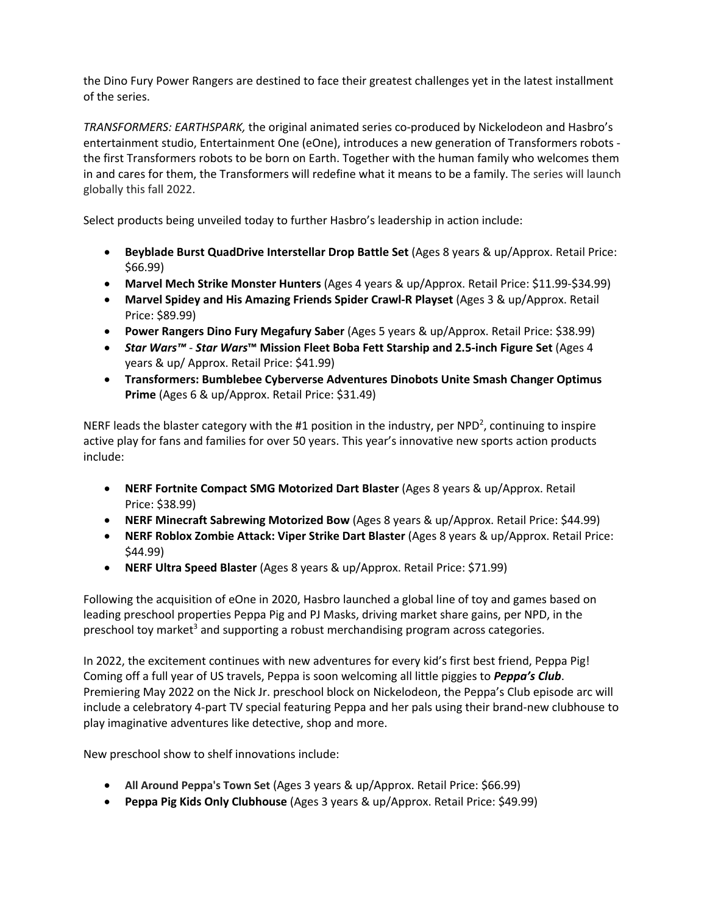the Dino Fury Power Rangers are destined to face their greatest challenges yet in the latest installment of the series.

*TRANSFORMERS: EARTHSPARK,* the original animated series co-produced by Nickelodeon and Hasbro's entertainment studio, Entertainment One (eOne), introduces a new generation of Transformers robots the first Transformers robots to be born on Earth. Together with the human family who welcomes them in and cares for them, the Transformers will redefine what it means to be a family. The series will launch globally this fall 2022.

Select products being unveiled today to further Hasbro's leadership in action include:

- **Beyblade Burst QuadDrive Interstellar Drop Battle Set** (Ages 8 years & up/Approx. Retail Price: \$66.99)
- **Marvel Mech Strike Monster Hunters** (Ages 4 years & up/Approx. Retail Price: \$11.99-\$34.99)
- **Marvel Spidey and His Amazing Friends Spider Crawl-R Playset** (Ages 3 & up/Approx. Retail Price: \$89.99)
- **Power Rangers Dino Fury Megafury Saber** (Ages 5 years & up/Approx. Retail Price: \$38.99)
- *Star Wars™ Star Wars***™ Mission Fleet Boba Fett Starship and 2.5-inch Figure Set** (Ages 4 years & up/ Approx. Retail Price: \$41.99)
- **Transformers: Bumblebee Cyberverse Adventures Dinobots Unite Smash Changer Optimus Prime** (Ages 6 & up/Approx. Retail Price: \$31.49)

NERF leads the blaster category with the #1 position in the industry, per NPD<sup>2</sup>, continuing to inspire active play for fans and families for over 50 years. This year's innovative new sports action products include:

- **NERF Fortnite Compact SMG Motorized Dart Blaster** (Ages 8 years & up/Approx. Retail Price: \$38.99)
- **NERF Minecraft Sabrewing Motorized Bow** (Ages 8 years & up/Approx. Retail Price: \$44.99)
- **NERF Roblox Zombie Attack: Viper Strike Dart Blaster** (Ages 8 years & up/Approx. Retail Price: \$44.99)
- **NERF Ultra Speed Blaster** (Ages 8 years & up/Approx. Retail Price: \$71.99)

Following the acquisition of eOne in 2020, Hasbro launched a global line of toy and games based on leading preschool properties Peppa Pig and PJ Masks, driving market share gains, per NPD, in the preschool toy market<sup>3</sup> and supporting a robust merchandising program across categories.

In 2022, the excitement continues with new adventures for every kid's first best friend, Peppa Pig! Coming off a full year of US travels, Peppa is soon welcoming all little piggies to *Peppa's Club*. Premiering May 2022 on the Nick Jr. preschool block on Nickelodeon, the Peppa's Club episode arc will include a celebratory 4-part TV special featuring Peppa and her pals using their brand-new clubhouse to play imaginative adventures like detective, shop and more.

New preschool show to shelf innovations include:

- **All Around Peppa's Town Set** (Ages 3 years & up/Approx. Retail Price: \$66.99)
- **Peppa Pig Kids Only Clubhouse** (Ages 3 years & up/Approx. Retail Price: \$49.99)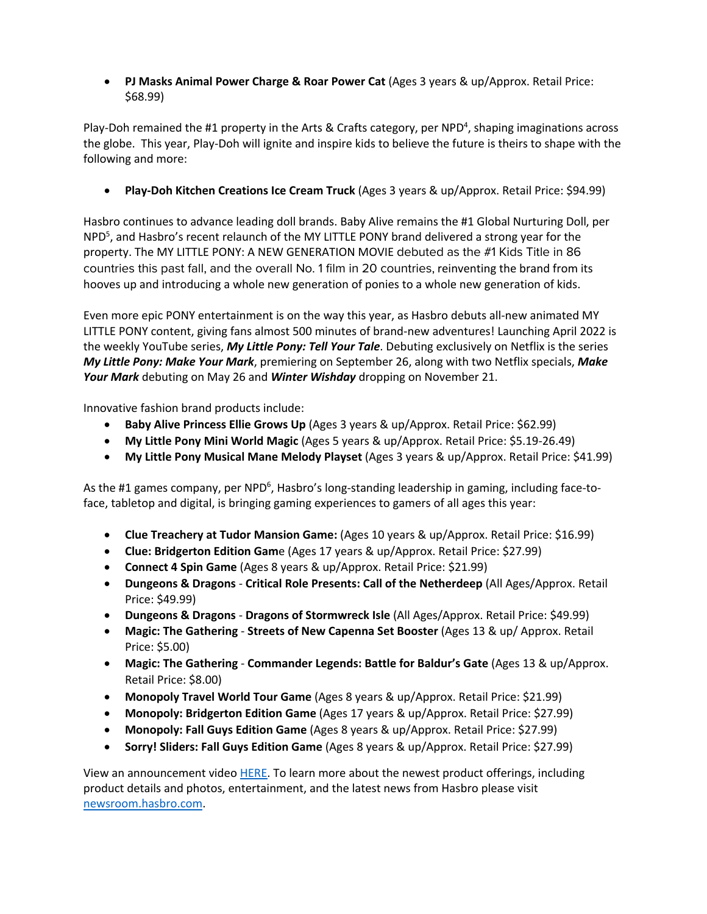• **PJ Masks Animal Power Charge & Roar Power Cat** (Ages 3 years & up/Approx. Retail Price: \$68.99)

Play-Doh remained the #1 property in the Arts & Crafts category, per NPD<sup>4</sup>, shaping imaginations across the globe. This year, Play-Doh will ignite and inspire kids to believe the future is theirs to shape with the following and more:

• **Play-Doh Kitchen Creations Ice Cream Truck** (Ages 3 years & up/Approx. Retail Price: \$94.99)

Hasbro continues to advance leading doll brands. Baby Alive remains the #1 Global Nurturing Doll, per NPD<sup>5</sup>, and Hasbro's recent relaunch of the MY LITTLE PONY brand delivered a strong year for the property. The MY LITTLE PONY: A NEW GENERATION MOVIE debuted as the #1 Kids Title in 86 countries this past fall, and the overall No. 1 film in 20 countries, reinventing the brand from its hooves up and introducing a whole new generation of ponies to a whole new generation of kids.

Even more epic PONY entertainment is on the way this year, as Hasbro debuts all-new animated MY LITTLE PONY content, giving fans almost 500 minutes of brand-new adventures! Launching April 2022 is the weekly YouTube series, *My Little Pony: Tell Your Tale*. Debuting exclusively on Netflix is the series *My Little Pony: Make Your Mark*, premiering on September 26, along with two Netflix specials, *Make Your Mark* debuting on May 26 and *Winter Wishday* dropping on November 21.

Innovative fashion brand products include:

- **Baby Alive Princess Ellie Grows Up** (Ages 3 years & up/Approx. Retail Price: \$62.99)
- **My Little Pony Mini World Magic** (Ages 5 years & up/Approx. Retail Price: \$5.19-26.49)
- **My Little Pony Musical Mane Melody Playset** (Ages 3 years & up/Approx. Retail Price: \$41.99)

As the #1 games company, per NPD<sup>6</sup>, Hasbro's long-standing leadership in gaming, including face-toface, tabletop and digital, is bringing gaming experiences to gamers of all ages this year:

- **Clue Treachery at Tudor Mansion Game:** (Ages 10 years & up/Approx. Retail Price: \$16.99)
- **Clue: Bridgerton Edition Gam**e (Ages 17 years & up/Approx. Retail Price: \$27.99)
- **Connect 4 Spin Game** (Ages 8 years & up/Approx. Retail Price: \$21.99)
- **Dungeons & Dragons Critical Role Presents: Call of the Netherdeep** (All Ages/Approx. Retail Price: \$49.99)
- **Dungeons & Dragons Dragons of Stormwreck Isle** (All Ages/Approx. Retail Price: \$49.99)
- **Magic: The Gathering Streets of New Capenna Set Booster** (Ages 13 & up/ Approx. Retail Price: \$5.00)
- **Magic: The Gathering Commander Legends: Battle for Baldur's Gate** (Ages 13 & up/Approx. Retail Price: \$8.00)
- **Monopoly Travel World Tour Game** (Ages 8 years & up/Approx. Retail Price: \$21.99)
- **Monopoly: Bridgerton Edition Game** (Ages 17 years & up/Approx. Retail Price: \$27.99)
- **Monopoly: Fall Guys Edition Game** (Ages 8 years & up/Approx. Retail Price: \$27.99)
- **Sorry! Sliders: Fall Guys Edition Game** (Ages 8 years & up/Approx. Retail Price: \$27.99)

View an announcement video HERE. To learn more about the newest product offerings, including product details and photos, entertainment, and the latest news from Hasbro please visit newsroom.hasbro.com.